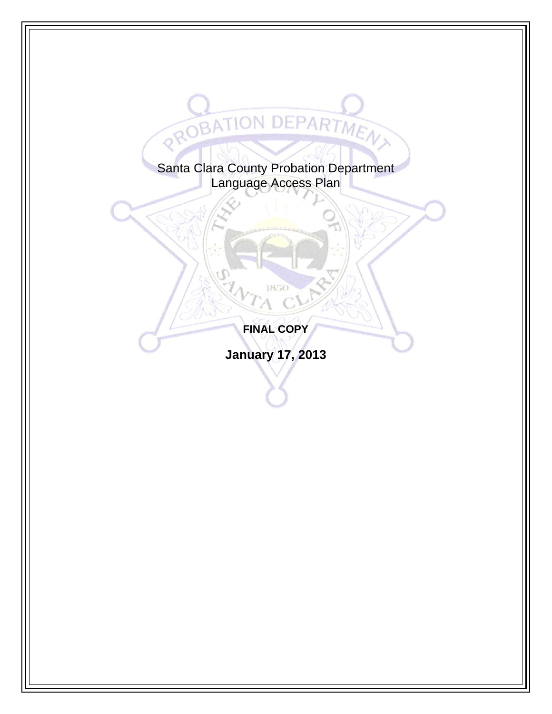# Santa Clara County Probation Department Language Access Plan

ROBATION DEPARTMENT

**FINAL COPY** 

1850

 $\widetilde{\omega}$ 

**January 17, 2013**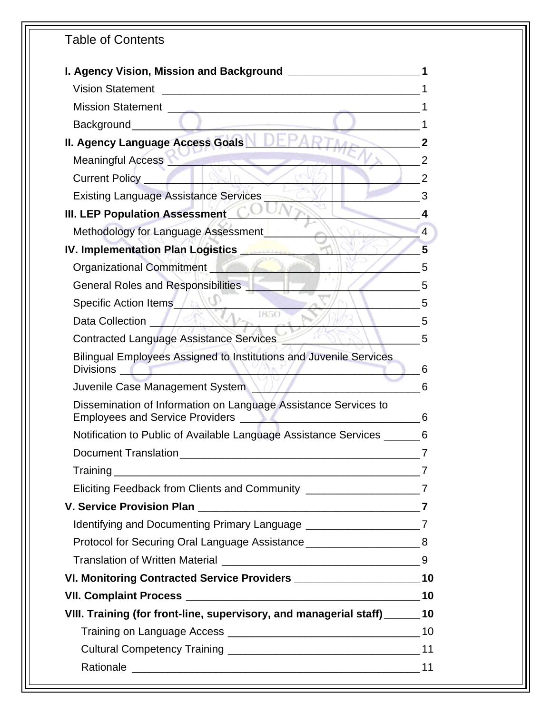| <b>Table of Contents</b>                                                                                                      |    |
|-------------------------------------------------------------------------------------------------------------------------------|----|
| I. Agency Vision, Mission and Background <b>contract to Agency Vision</b> , Mission and Background                            |    |
| <b>Vision Statement</b>                                                                                                       |    |
| <b>Mission Statement</b>                                                                                                      |    |
| Background_                                                                                                                   |    |
| II. Agency Language Access Goals                                                                                              |    |
| <b>Meaningful Access</b>                                                                                                      |    |
| Current Policy                                                                                                                | 2  |
| <b>Existing Language Assistance Services</b>                                                                                  | 3  |
| III. LEP Population Assessment                                                                                                |    |
| Methodology for Language Assessment                                                                                           | 4  |
| <b>IV. Implementation Plan Logistics</b>                                                                                      | 5  |
| Organizational Commitment_                                                                                                    |    |
| <b>General Roles and Responsibilities</b>                                                                                     | 5  |
| Specific Action Items                                                                                                         |    |
| 1850<br>Data Collection                                                                                                       |    |
| <b>Contracted Language Assistance Services</b>                                                                                | 5  |
| Bilingual Employees Assigned to Institutions and Juvenile Services<br><b>Divisions</b><br>and the contract of the contract of | 6  |
| Juvenile Case Management System                                                                                               | 6  |
| Dissemination of Information on Language Assistance Services to<br>Employees and Service Providers ___                        | 6  |
| Notification to Public of Available Language Assistance Services _______ 6                                                    |    |
|                                                                                                                               |    |
|                                                                                                                               |    |
| Eliciting Feedback from Clients and Community _____________________________7                                                  |    |
|                                                                                                                               |    |
| Identifying and Documenting Primary Language _________________________________7                                               |    |
| Protocol for Securing Oral Language Assistance __________________________8                                                    |    |
|                                                                                                                               |    |
|                                                                                                                               |    |
|                                                                                                                               |    |
| VIII. Training (for front-line, supervisory, and managerial staff) ______ 10                                                  |    |
|                                                                                                                               |    |
|                                                                                                                               |    |
|                                                                                                                               | 11 |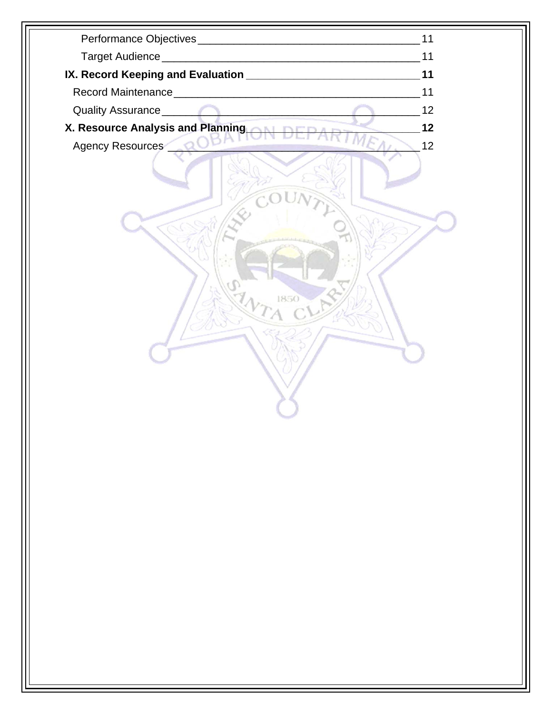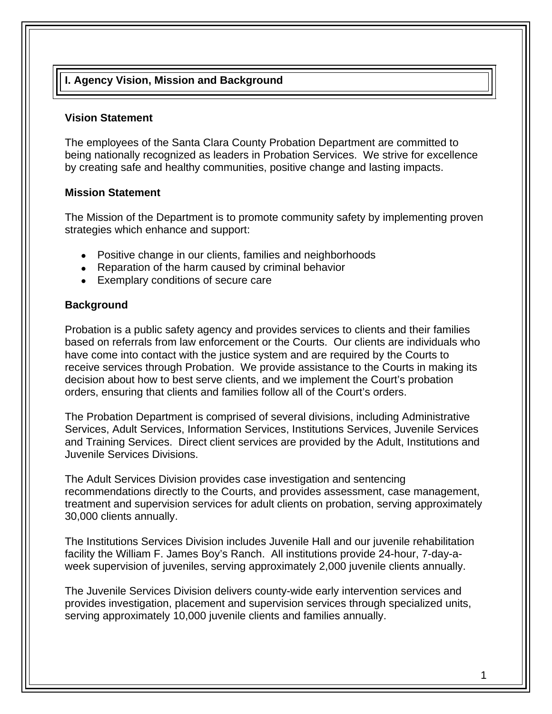### **I. Agency Vision, Mission and Background**

#### **Vision Statement**

The employees of the Santa Clara County Probation Department are committed to being nationally recognized as leaders in Probation Services. We strive for excellence by creating safe and healthy communities, positive change and lasting impacts.

### **Mission Statement**

The Mission of the Department is to promote community safety by implementing proven strategies which enhance and support:

- Positive change in our clients, families and neighborhoods
- Reparation of the harm caused by criminal behavior
- Exemplary conditions of secure care

### **Background**

Probation is a public safety agency and provides services to clients and their families based on referrals from law enforcement or the Courts. Our clients are individuals who have come into contact with the justice system and are required by the Courts to receive services through Probation. We provide assistance to the Courts in making its decision about how to best serve clients, and we implement the Court's probation orders, ensuring that clients and families follow all of the Court's orders.

The Probation Department is comprised of several divisions, including Administrative Services, Adult Services, Information Services, Institutions Services, Juvenile Services and Training Services. Direct client services are provided by the Adult, Institutions and Juvenile Services Divisions.

The Adult Services Division provides case investigation and sentencing recommendations directly to the Courts, and provides assessment, case management, treatment and supervision services for adult clients on probation, serving approximately 30,000 clients annually.

The Institutions Services Division includes Juvenile Hall and our juvenile rehabilitation facility the William F. James Boy's Ranch. All institutions provide 24-hour, 7-day-aweek supervision of juveniles, serving approximately 2,000 juvenile clients annually.

The Juvenile Services Division delivers county-wide early intervention services and provides investigation, placement and supervision services through specialized units, serving approximately 10,000 juvenile clients and families annually.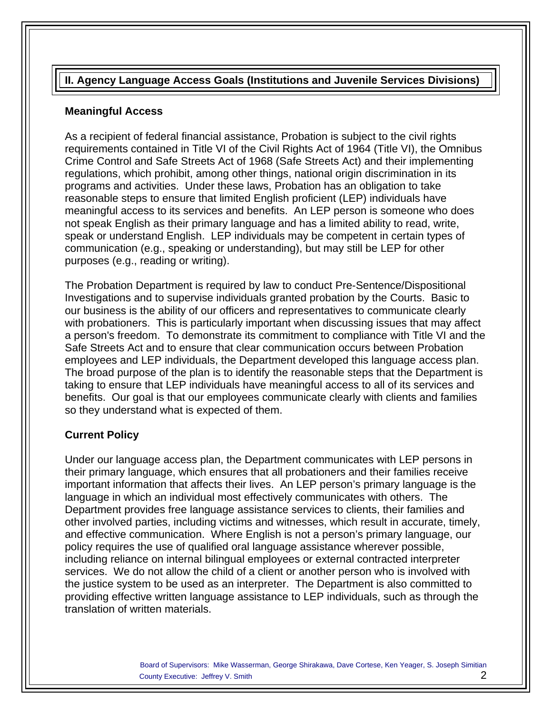# **II. Agency Language Access Goals (Institutions and Juvenile Services Divisions)**

#### **Meaningful Access**

As a recipient of federal financial assistance, Probation is subject to the civil rights requirements contained in Title VI of the Civil Rights Act of 1964 (Title VI), the Omnibus Crime Control and Safe Streets Act of 1968 (Safe Streets Act) and their implementing regulations, which prohibit, among other things, national origin discrimination in its programs and activities. Under these laws, Probation has an obligation to take reasonable steps to ensure that limited English proficient (LEP) individuals have meaningful access to its services and benefits. An LEP person is someone who does not speak English as their primary language and has a limited ability to read, write, speak or understand English. LEP individuals may be competent in certain types of communication (e.g., speaking or understanding), but may still be LEP for other purposes (e.g., reading or writing).

The Probation Department is required by law to conduct Pre-Sentence/Dispositional Investigations and to supervise individuals granted probation by the Courts. Basic to our business is the ability of our officers and representatives to communicate clearly with probationers. This is particularly important when discussing issues that may affect a person's freedom. To demonstrate its commitment to compliance with Title VI and the Safe Streets Act and to ensure that clear communication occurs between Probation employees and LEP individuals, the Department developed this language access plan. The broad purpose of the plan is to identify the reasonable steps that the Department is taking to ensure that LEP individuals have meaningful access to all of its services and benefits. Our goal is that our employees communicate clearly with clients and families so they understand what is expected of them.

### **Current Policy**

Under our language access plan, the Department communicates with LEP persons in their primary language, which ensures that all probationers and their families receive important information that affects their lives. An LEP person's primary language is the language in which an individual most effectively communicates with others. The Department provides free language assistance services to clients, their families and other involved parties, including victims and witnesses, which result in accurate, timely, and effective communication. Where English is not a person's primary language, our policy requires the use of qualified oral language assistance wherever possible, including reliance on internal bilingual employees or external contracted interpreter services. We do not allow the child of a client or another person who is involved with the justice system to be used as an interpreter. The Department is also committed to providing effective written language assistance to LEP individuals, such as through the translation of written materials.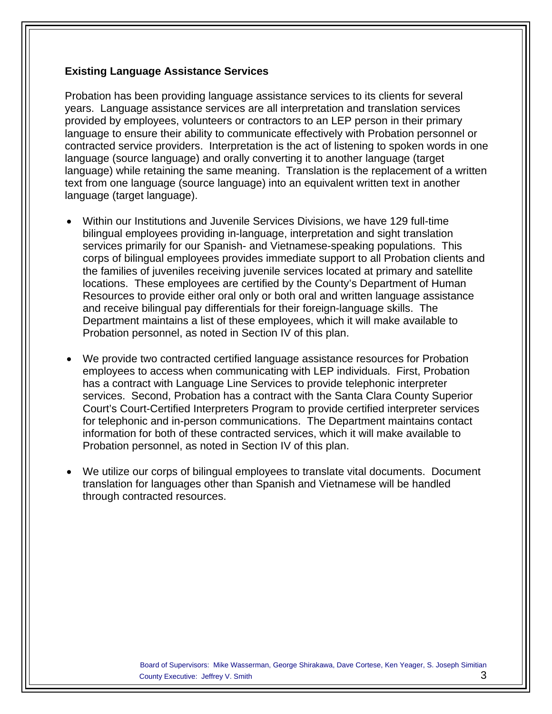#### **Existing Language Assistance Services**

Probation has been providing language assistance services to its clients for several years. Language assistance services are all interpretation and translation services provided by employees, volunteers or contractors to an LEP person in their primary language to ensure their ability to communicate effectively with Probation personnel or contracted service providers. Interpretation is the act of listening to spoken words in one language (source language) and orally converting it to another language (target language) while retaining the same meaning. Translation is the replacement of a written text from one language (source language) into an equivalent written text in another language (target language).

- Within our Institutions and Juvenile Services Divisions, we have 129 full-time bilingual employees providing in-language, interpretation and sight translation services primarily for our Spanish- and Vietnamese-speaking populations. This corps of bilingual employees provides immediate support to all Probation clients and the families of juveniles receiving juvenile services located at primary and satellite locations. These employees are certified by the County's Department of Human Resources to provide either oral only or both oral and written language assistance and receive bilingual pay differentials for their foreign-language skills. The Department maintains a list of these employees, which it will make available to Probation personnel, as noted in Section IV of this plan.
- We provide two contracted certified language assistance resources for Probation employees to access when communicating with LEP individuals. First, Probation has a contract with Language Line Services to provide telephonic interpreter services. Second, Probation has a contract with the Santa Clara County Superior Court's Court-Certified Interpreters Program to provide certified interpreter services for telephonic and in-person communications. The Department maintains contact information for both of these contracted services, which it will make available to Probation personnel, as noted in Section IV of this plan.
- We utilize our corps of bilingual employees to translate vital documents. Document translation for languages other than Spanish and Vietnamese will be handled through contracted resources.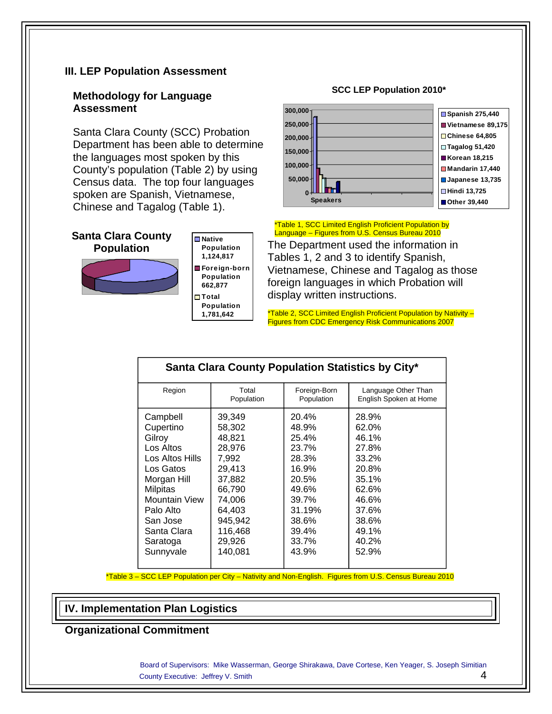#### **III. LEP Population Assessment**

#### **Methodology for Language Assessment**

Santa Clara County (SCC) Probation Department has been able to determine the languages most spoken by this County's population (Table 2) by using Census data. The top four languages spoken are Spanish, Vietnamese, Chinese and Tagalog (Table 1).

#### **Santa Clara County Population**





#### **SCC LEP Population 2010\***



#### \*Table 1, SCC Limited English Proficient Population by Language – Figures from U.S. Census Bureau 2010

The Department used the information in Tables 1, 2 and 3 to identify Spanish, Vietnamese, Chinese and Tagalog as those foreign languages in which Probation will display written instructions.

\*Table 2, SCC Limited English Proficient Population by Nativity – Figures from CDC Emergency Risk Communications 2007

| Santa Clara County Population Statistics by City* |            |              |                        |  |
|---------------------------------------------------|------------|--------------|------------------------|--|
| Region                                            | Total      | Foreign-Born | Language Other Than    |  |
|                                                   | Population | Population   | English Spoken at Home |  |
| Campbell                                          | 39,349     | 20.4%        | 28.9%                  |  |
| Cupertino                                         | 58,302     | 48.9%        | 62.0%                  |  |
| Gilroy                                            | 48,821     | 25.4%        | 46.1%                  |  |
| Los Altos                                         | 28,976     | 23.7%        | 27.8%                  |  |
| Los Altos Hills                                   | 7,992      | 28.3%        | 33.2%                  |  |
| Los Gatos                                         | 29.413     | 16.9%        | 20.8%                  |  |
| Morgan Hill                                       | 37,882     | 20.5%        | 35.1%                  |  |
| <b>Milpitas</b>                                   | 66,790     | 49.6%        | 62.6%                  |  |
| Mountain View                                     | 74.006     | 39.7%        | 46.6%                  |  |
| Palo Alto                                         | 64.403     | 31.19%       | 37.6%                  |  |
| San Jose                                          | 945,942    | 38.6%        | 38.6%                  |  |
| Santa Clara                                       | 116,468    | 39.4%        | 49.1%                  |  |
| Saratoga                                          | 29,926     | 33.7%        | 40.2%                  |  |
| Sunnyvale                                         | 140,081    | 43.9%        | 52.9%                  |  |

\*Table 3 – SCC LEP Population per City – Nativity and Non-English. Figures from U.S. Census Bureau 2010

#### **IV. Implementation Plan Logistics**

#### **Organizational Commitment**

Board of Supervisors: Mike Wasserman, George Shirakawa, Dave Cortese, Ken Yeager, S. Joseph Simitian County Executive: Jeffrey V. Smith 4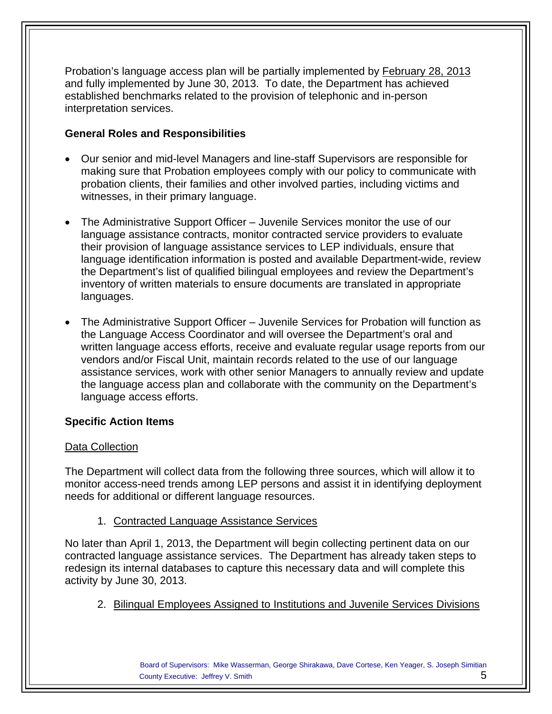Probation's language access plan will be partially implemented by February 28, 2013 and fully implemented by June 30, 2013. To date, the Department has achieved established benchmarks related to the provision of telephonic and in-person interpretation services.

### **General Roles and Responsibilities**

- Our senior and mid-level Managers and line-staff Supervisors are responsible for making sure that Probation employees comply with our policy to communicate with probation clients, their families and other involved parties, including victims and witnesses, in their primary language.
- The Administrative Support Officer Juvenile Services monitor the use of our language assistance contracts, monitor contracted service providers to evaluate their provision of language assistance services to LEP individuals, ensure that language identification information is posted and available Department-wide, review the Department's list of qualified bilingual employees and review the Department's inventory of written materials to ensure documents are translated in appropriate languages.
- The Administrative Support Officer Juvenile Services for Probation will function as the Language Access Coordinator and will oversee the Department's oral and written language access efforts, receive and evaluate regular usage reports from our vendors and/or Fiscal Unit, maintain records related to the use of our language assistance services, work with other senior Managers to annually review and update the language access plan and collaborate with the community on the Department's language access efforts.

### **Specific Action Items**

### Data Collection

The Department will collect data from the following three sources, which will allow it to monitor access-need trends among LEP persons and assist it in identifying deployment needs for additional or different language resources.

1. Contracted Language Assistance Services

No later than April 1, 2013, the Department will begin collecting pertinent data on our contracted language assistance services. The Department has already taken steps to redesign its internal databases to capture this necessary data and will complete this activity by June 30, 2013.

2. Bilingual Employees Assigned to Institutions and Juvenile Services Divisions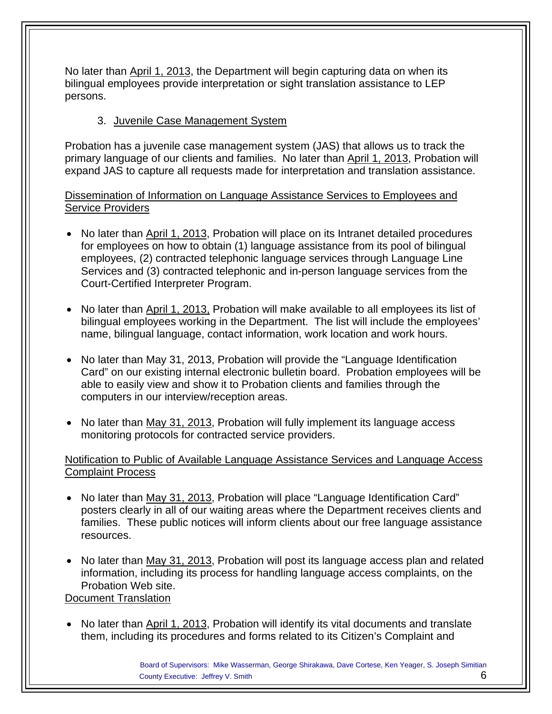No later than April 1, 2013, the Department will begin capturing data on when its bilingual employees provide interpretation or sight translation assistance to LEP persons.

### 3. Juvenile Case Management System

Probation has a juvenile case management system (JAS) that allows us to track the primary language of our clients and families. No later than April 1, 2013, Probation will expand JAS to capture all requests made for interpretation and translation assistance.

Dissemination of Information on Language Assistance Services to Employees and Service Providers

- No later than April 1, 2013, Probation will place on its Intranet detailed procedures for employees on how to obtain (1) language assistance from its pool of bilingual employees, (2) contracted telephonic language services through Language Line Services and (3) contracted telephonic and in-person language services from the Court-Certified Interpreter Program.
- No later than April 1, 2013, Probation will make available to all employees its list of bilingual employees working in the Department. The list will include the employees' name, bilingual language, contact information, work location and work hours.
- No later than May 31, 2013, Probation will provide the "Language Identification Card" on our existing internal electronic bulletin board. Probation employees will be able to easily view and show it to Probation clients and families through the computers in our interview/reception areas.
- No later than May 31, 2013, Probation will fully implement its language access monitoring protocols for contracted service providers.

### Notification to Public of Available Language Assistance Services and Language Access Complaint Process

- No later than May 31, 2013, Probation will place "Language Identification Card" posters clearly in all of our waiting areas where the Department receives clients and families. These public notices will inform clients about our free language assistance resources.
- No later than May 31, 2013, Probation will post its language access plan and related information, including its process for handling language access complaints, on the Probation Web site.

Document Translation

• No later than April 1, 2013, Probation will identify its vital documents and translate them, including its procedures and forms related to its Citizen's Complaint and

> Board of Supervisors: Mike Wasserman, George Shirakawa, Dave Cortese, Ken Yeager, S. Joseph Simitian County Executive: Jeffrey V. Smith 6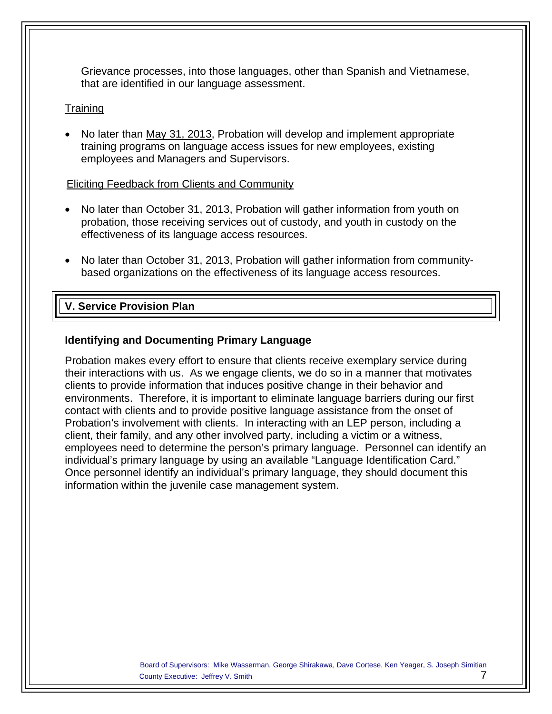Grievance processes, into those languages, other than Spanish and Vietnamese, that are identified in our language assessment.

#### **Training**

• No later than May 31, 2013, Probation will develop and implement appropriate training programs on language access issues for new employees, existing employees and Managers and Supervisors.

Eliciting Feedback from Clients and Community

- No later than October 31, 2013, Probation will gather information from youth on probation, those receiving services out of custody, and youth in custody on the effectiveness of its language access resources.
- No later than October 31, 2013, Probation will gather information from communitybased organizations on the effectiveness of its language access resources.

### **V. Service Provision Plan**

### **Identifying and Documenting Primary Language**

Probation makes every effort to ensure that clients receive exemplary service during their interactions with us. As we engage clients, we do so in a manner that motivates clients to provide information that induces positive change in their behavior and environments. Therefore, it is important to eliminate language barriers during our first contact with clients and to provide positive language assistance from the onset of Probation's involvement with clients. In interacting with an LEP person, including a client, their family, and any other involved party, including a victim or a witness, employees need to determine the person's primary language. Personnel can identify an individual's primary language by using an available "Language Identification Card." Once personnel identify an individual's primary language, they should document this information within the juvenile case management system.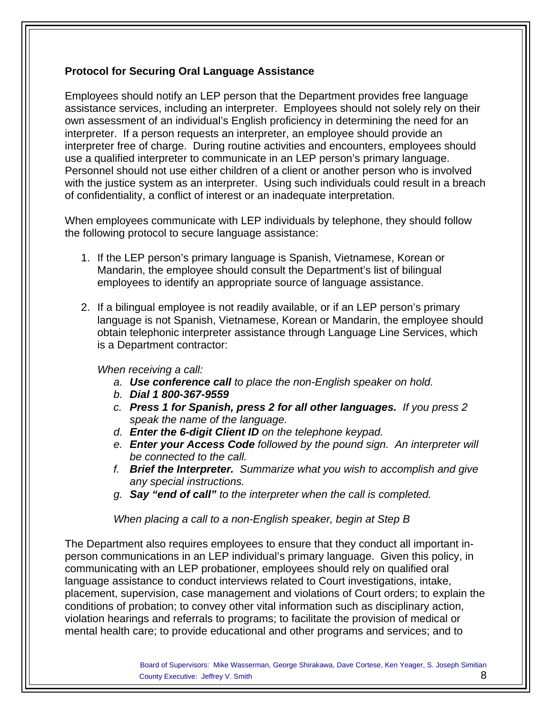### **Protocol for Securing Oral Language Assistance**

Employees should notify an LEP person that the Department provides free language assistance services, including an interpreter. Employees should not solely rely on their own assessment of an individual's English proficiency in determining the need for an interpreter. If a person requests an interpreter, an employee should provide an interpreter free of charge. During routine activities and encounters, employees should use a qualified interpreter to communicate in an LEP person's primary language. Personnel should not use either children of a client or another person who is involved with the justice system as an interpreter. Using such individuals could result in a breach of confidentiality, a conflict of interest or an inadequate interpretation.

When employees communicate with LEP individuals by telephone, they should follow the following protocol to secure language assistance:

- 1. If the LEP person's primary language is Spanish, Vietnamese, Korean or Mandarin, the employee should consult the Department's list of bilingual employees to identify an appropriate source of language assistance.
- 2. If a bilingual employee is not readily available, or if an LEP person's primary language is not Spanish, Vietnamese, Korean or Mandarin, the employee should obtain telephonic interpreter assistance through Language Line Services, which is a Department contractor:

*When receiving a call:* 

- *a. Use conference call to place the non-English speaker on hold.*
- *b. Dial 1 800-367-9559*
- *c. Press 1 for Spanish, press 2 for all other languages. If you press 2 speak the name of the language.*
- *d. Enter the 6-digit Client ID on the telephone keypad.*
- *e. Enter your Access Code followed by the pound sign. An interpreter will be connected to the call.*
- *f. Brief the Interpreter. Summarize what you wish to accomplish and give any special instructions.*
- *g. Say "end of call" to the interpreter when the call is completed.*

*When placing a call to a non-English speaker, begin at Step B* 

The Department also requires employees to ensure that they conduct all important inperson communications in an LEP individual's primary language. Given this policy, in communicating with an LEP probationer, employees should rely on qualified oral language assistance to conduct interviews related to Court investigations, intake, placement, supervision, case management and violations of Court orders; to explain the conditions of probation; to convey other vital information such as disciplinary action, violation hearings and referrals to programs; to facilitate the provision of medical or mental health care; to provide educational and other programs and services; and to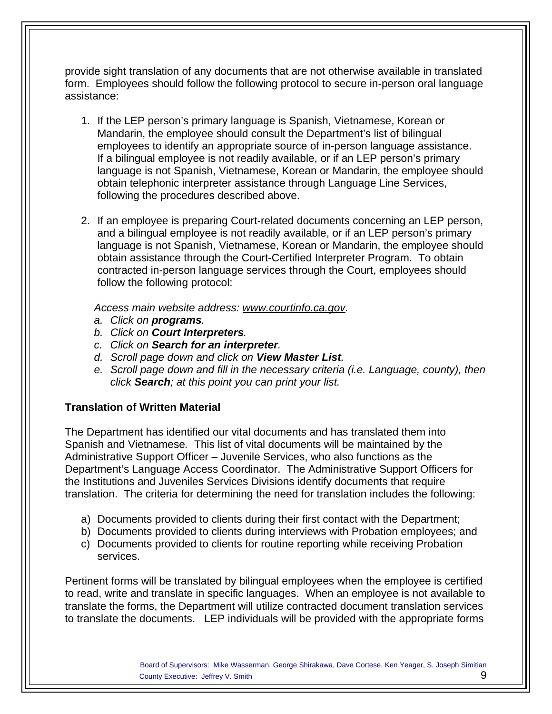provide sight translation of any documents that are not otherwise available in translated form. Employees should follow the following protocol to secure in-person oral language assistance:

- 1. If the LEP person's primary language is Spanish, Vietnamese, Korean or Mandarin, the employee should consult the Department's list of bilingual employees to identify an appropriate source of in-person language assistance. If a bilingual employee is not readily available, or if an LEP person's primary language is not Spanish, Vietnamese, Korean or Mandarin, the employee should obtain telephonic interpreter assistance through Language Line Services, following the procedures described above.
- 2. If an employee is preparing Court-related documents concerning an LEP person, and a bilingual employee is not readily available, or if an LEP person's primary language is not Spanish, Vietnamese, Korean or Mandarin, the employee should obtain assistance through the Court-Certified Interpreter Program. To obtain contracted in-person language services through the Court, employees should follow the following protocol:

*Access main website address: www.courtinfo.ca.gov.* 

- *a. Click on programs.*
- *b. Click on Court Interpreters.*
- *c. Click on Search for an interpreter.*
- *d. Scroll page down and click on View Master List.*
- *e. Scroll page down and fill in the necessary criteria (i.e. Language, county), then click Search; at this point you can print your list.*

### **Translation of Written Material**

The Department has identified our vital documents and has translated them into Spanish and Vietnamese*.* This list of vital documents will be maintained by the Administrative Support Officer – Juvenile Services, who also functions as the Department's Language Access Coordinator. The Administrative Support Officers for the Institutions and Juveniles Services Divisions identify documents that require translation. The criteria for determining the need for translation includes the following:

- a) Documents provided to clients during their first contact with the Department;
- b) Documents provided to clients during interviews with Probation employees; and
- c) Documents provided to clients for routine reporting while receiving Probation services.

Pertinent forms will be translated by bilingual employees when the employee is certified to read, write and translate in specific languages. When an employee is not available to translate the forms, the Department will utilize contracted document translation services to translate the documents. LEP individuals will be provided with the appropriate forms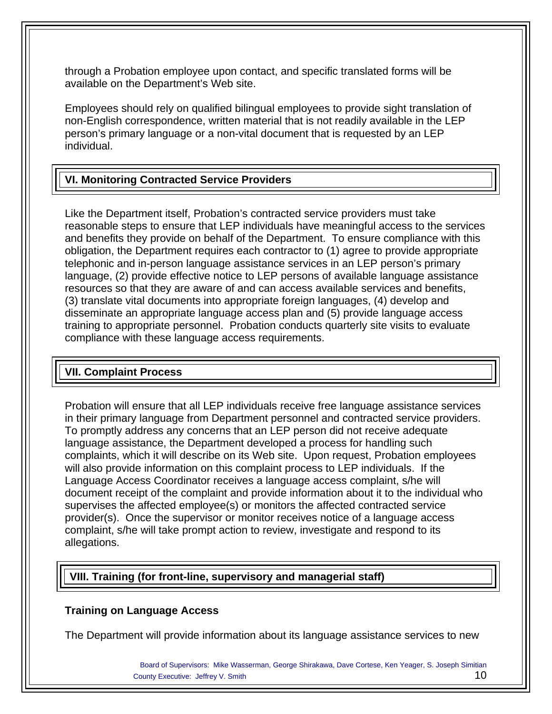through a Probation employee upon contact, and specific translated forms will be available on the Department's Web site.

Employees should rely on qualified bilingual employees to provide sight translation of non-English correspondence, written material that is not readily available in the LEP person's primary language or a non-vital document that is requested by an LEP individual.

# **VI. Monitoring Contracted Service Providers**

Like the Department itself, Probation's contracted service providers must take reasonable steps to ensure that LEP individuals have meaningful access to the services and benefits they provide on behalf of the Department. To ensure compliance with this obligation, the Department requires each contractor to (1) agree to provide appropriate telephonic and in-person language assistance services in an LEP person's primary language, (2) provide effective notice to LEP persons of available language assistance resources so that they are aware of and can access available services and benefits, (3) translate vital documents into appropriate foreign languages, (4) develop and disseminate an appropriate language access plan and (5) provide language access training to appropriate personnel. Probation conducts quarterly site visits to evaluate compliance with these language access requirements.

### **VII. Complaint Process**

Probation will ensure that all LEP individuals receive free language assistance services in their primary language from Department personnel and contracted service providers. To promptly address any concerns that an LEP person did not receive adequate language assistance, the Department developed a process for handling such complaints, which it will describe on its Web site. Upon request, Probation employees will also provide information on this complaint process to LEP individuals. If the Language Access Coordinator receives a language access complaint, s/he will document receipt of the complaint and provide information about it to the individual who supervises the affected employee(s) or monitors the affected contracted service provider(s). Once the supervisor or monitor receives notice of a language access complaint, s/he will take prompt action to review, investigate and respond to its allegations.

# **VIII. Training (for front-line, supervisory and managerial staff)**

### **Training on Language Access**

The Department will provide information about its language assistance services to new

Board of Supervisors: Mike Wasserman, George Shirakawa, Dave Cortese, Ken Yeager, S. Joseph Simitian County Executive: Jeffrey V. Smith 10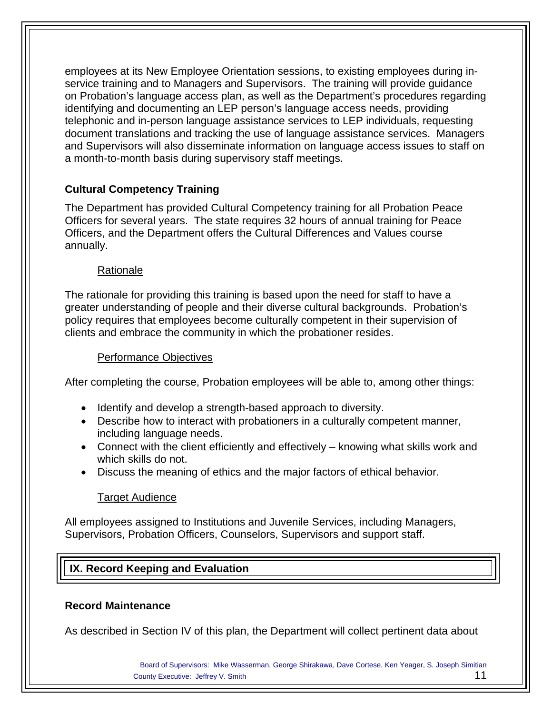employees at its New Employee Orientation sessions, to existing employees during inservice training and to Managers and Supervisors. The training will provide guidance on Probation's language access plan, as well as the Department's procedures regarding identifying and documenting an LEP person's language access needs, providing telephonic and in-person language assistance services to LEP individuals, requesting document translations and tracking the use of language assistance services. Managers and Supervisors will also disseminate information on language access issues to staff on a month-to-month basis during supervisory staff meetings.

# **Cultural Competency Training**

The Department has provided Cultural Competency training for all Probation Peace Officers for several years. The state requires 32 hours of annual training for Peace Officers, and the Department offers the Cultural Differences and Values course annually.

### Rationale

The rationale for providing this training is based upon the need for staff to have a greater understanding of people and their diverse cultural backgrounds. Probation's policy requires that employees become culturally competent in their supervision of clients and embrace the community in which the probationer resides.

### Performance Objectives

After completing the course, Probation employees will be able to, among other things:

- Identify and develop a strength-based approach to diversity.
- Describe how to interact with probationers in a culturally competent manner, including language needs.
- Connect with the client efficiently and effectively knowing what skills work and which skills do not.
- Discuss the meaning of ethics and the major factors of ethical behavior.

### Target Audience

All employees assigned to Institutions and Juvenile Services, including Managers, Supervisors, Probation Officers, Counselors, Supervisors and support staff.

# **IX. Record Keeping and Evaluation**

### **Record Maintenance**

As described in Section IV of this plan, the Department will collect pertinent data about

Board of Supervisors: Mike Wasserman, George Shirakawa, Dave Cortese, Ken Yeager, S. Joseph Simitian County Executive: Jeffrey V. Smith 11 and 200 and 200 and 200 and 200 and 200 and 200 and 200 and 200 and 200 and 200 and 200 and 200 and 200 and 200 and 200 and 200 and 200 and 200 and 200 and 200 and 200 and 200 and 200